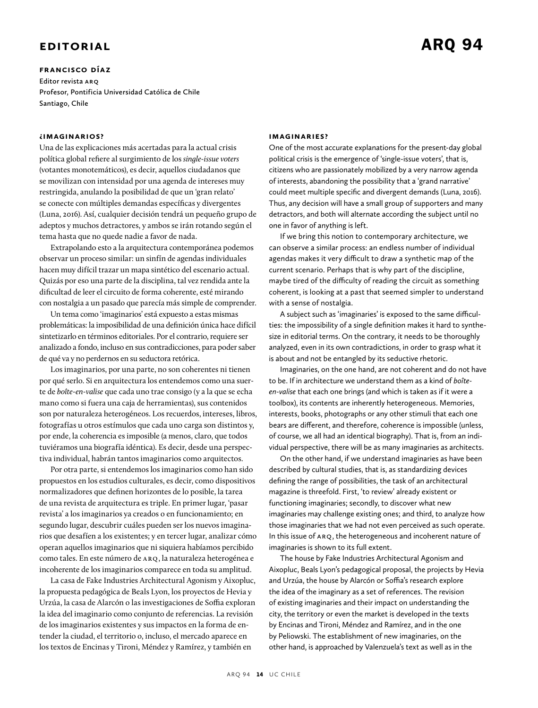## **Editorial**

**Francisco Díaz Editor revista arq Profesor, Pontificia Universidad Católica de Chile Santiago, Chile**

## **¿imaginarios?**

Una de las explicaciones más acertadas para la actual crisis política global refiere al surgimiento de los *single-issue voters* (votantes monotemáticos), es decir, aquellos ciudadanos que se movilizan con intensidad por una agenda de intereses muy restringida, anulando la posibilidad de que un 'gran relato' se conecte con múltiples demandas específicas y divergentes (Luna, 2016). Así, cualquier decisión tendrá un pequeño grupo de adeptos y muchos detractores, y ambos se irán rotando según el tema hasta que no quede nadie a favor de nada.

Extrapolando esto a la arquitectura contemporánea podemos observar un proceso similar: un sinfín de agendas individuales hacen muy difícil trazar un mapa sintético del escenario actual. Quizás por eso una parte de la disciplina, tal vez rendida ante la dificultad de leer el circuito de forma coherente, esté mirando con nostalgia a un pasado que parecía más simple de comprender.

Un tema como 'imaginarios' está expuesto a estas mismas problemáticas: la imposibilidad de una definición única hace difícil sintetizarlo en términos editoriales. Por el contrario, requiere ser analizado a fondo, incluso en sus contradicciones, para poder saber de qué va y no perdernos en su seductora retórica.

Los imaginarios, por una parte, no son coherentes ni tienen por qué serlo. Si en arquitectura los entendemos como una suerte de *boîte-en-valise* que cada uno trae consigo (y a la que se echa mano como si fuera una caja de herramientas), sus contenidos son por naturaleza heterogéneos. Los recuerdos, intereses, libros, fotografías u otros estímulos que cada uno carga son distintos y, por ende, la coherencia es imposible (a menos, claro, que todos tuviéramos una biografía idéntica). Es decir, desde una perspectiva individual, habrán tantos imaginarios como arquitectos.

Por otra parte, si entendemos los imaginarios como han sido propuestos en los estudios culturales, es decir, como dispositivos normalizadores que definen horizontes de lo posible, la tarea de una revista de arquitectura es triple. En primer lugar, 'pasar revista' a los imaginarios ya creados o en funcionamiento; en segundo lugar, descubrir cuáles pueden ser los nuevos imaginarios que desafíen a los existentes; y en tercer lugar, analizar cómo operan aquellos imaginarios que ni siquiera habíamos percibido como tales. En este número de arq, la naturaleza heterogénea e incoherente de los imaginarios comparece en toda su amplitud.

La casa de Fake Industries Architectural Agonism y Aixopluc, la propuesta pedagógica de Beals Lyon, los proyectos de Hevia y Urzúa, la casa de Alarcón o las investigaciones de Soffia exploran la idea del imaginario como conjunto de referencias. La revisión de los imaginarios existentes y sus impactos en la forma de entender la ciudad, el territorio o, incluso, el mercado aparece en los textos de Encinas y Tironi, Méndez y Ramírez, y también en

## **imaginaries?**

One of the most accurate explanations for the present-day global political crisis is the emergence of 'single-issue voters', that is, citizens who are passionately mobilized by a very narrow agenda of interests, abandoning the possibility that a 'grand narrative' could meet multiple specific and divergent demands (Luna, 2016). Thus, any decision will have a small group of supporters and many detractors, and both will alternate according the subject until no one in favor of anything is left.

If we bring this notion to contemporary architecture, we can observe a similar process: an endless number of individual agendas makes it very difficult to draw a synthetic map of the current scenario. Perhaps that is why part of the discipline, maybe tired of the difficulty of reading the circuit as something coherent, is looking at a past that seemed simpler to understand with a sense of nostalgia.

A subject such as 'imaginaries' is exposed to the same difficulties: the impossibility of a single definition makes it hard to synthesize in editorial terms. On the contrary, it needs to be thoroughly analyzed, even in its own contradictions, in order to grasp what it is about and not be entangled by its seductive rhetoric.

Imaginaries, on the one hand, are not coherent and do not have to be. If in architecture we understand them as a kind of *boîteen-valise* that each one brings (and which is taken as if it were a toolbox), its contents are inherently heterogeneous. Memories, interests, books, photographs or any other stimuli that each one bears are different, and therefore, coherence is impossible (unless, of course, we all had an identical biography). That is, from an individual perspective, there will be as many imaginaries as architects.

On the other hand, if we understand imaginaries as have been described by cultural studies, that is, as standardizing devices defining the range of possibilities, the task of an architectural magazine is threefold. First, 'to review' already existent or functioning imaginaries; secondly, to discover what new imaginaries may challenge existing ones; and third, to analyze how those imaginaries that we had not even perceived as such operate. In this issue of ARQ, the heterogeneous and incoherent nature of imaginaries is shown to its full extent.

The house by Fake Industries Architectural Agonism and Aixopluc, Beals Lyon's pedagogical proposal, the projects by Hevia and Urzúa, the house by Alarcón or Soffia's research explore the idea of the imaginary as a set of references. The revision of existing imaginaries and their impact on understanding the city, the territory or even the market is developed in the texts by Encinas and Tironi, Méndez and Ramírez, and in the one by Peliowski. The establishment of new imaginaries, on the other hand, is approached by Valenzuela's text as well as in the